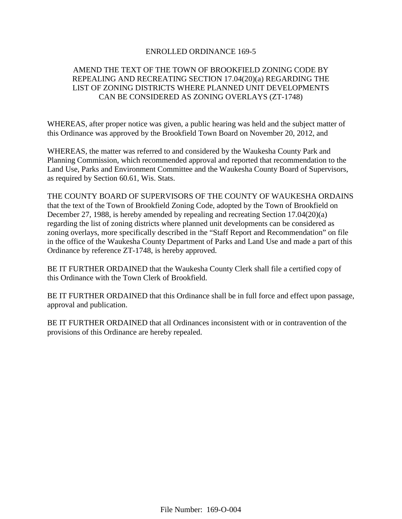#### ENROLLED ORDINANCE 169-5

# AMEND THE TEXT OF THE TOWN OF BROOKFIELD ZONING CODE BY REPEALING AND RECREATING SECTION 17.04(20)(a) REGARDING THE LIST OF ZONING DISTRICTS WHERE PLANNED UNIT DEVELOPMENTS CAN BE CONSIDERED AS ZONING OVERLAYS (ZT-1748)

WHEREAS, after proper notice was given, a public hearing was held and the subject matter of this Ordinance was approved by the Brookfield Town Board on November 20, 2012, and

WHEREAS, the matter was referred to and considered by the Waukesha County Park and Planning Commission, which recommended approval and reported that recommendation to the Land Use, Parks and Environment Committee and the Waukesha County Board of Supervisors, as required by Section 60.61, Wis. Stats.

THE COUNTY BOARD OF SUPERVISORS OF THE COUNTY OF WAUKESHA ORDAINS that the text of the Town of Brookfield Zoning Code, adopted by the Town of Brookfield on December 27, 1988, is hereby amended by repealing and recreating Section 17.04(20)(a) regarding the list of zoning districts where planned unit developments can be considered as zoning overlays, more specifically described in the "Staff Report and Recommendation" on file in the office of the Waukesha County Department of Parks and Land Use and made a part of this Ordinance by reference ZT-1748, is hereby approved.

BE IT FURTHER ORDAINED that the Waukesha County Clerk shall file a certified copy of this Ordinance with the Town Clerk of Brookfield.

BE IT FURTHER ORDAINED that this Ordinance shall be in full force and effect upon passage, approval and publication.

BE IT FURTHER ORDAINED that all Ordinances inconsistent with or in contravention of the provisions of this Ordinance are hereby repealed.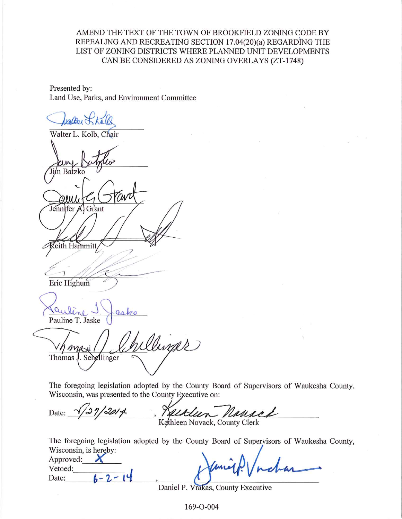AMEND THE TEXT OF THE TOWN OF BROOKFIELD ZONING CODE BY REPEALING AND RECREATING SECTION 17.04(20)(a) REGARDING THE LIST OF ZONING DISTRICTS WHERE PLANNED UNIT DEVELOPMENTS CAN BE CONSIDERED AS ZONING OVERLAYS (ZT-1748)

Presented by: Land Use, Parks, and Environment Committee

caller Jk

Walter L. Kolb, Chair m Batzko Jennifer Grant eith Hammitt Eric Highum Pauline T. Jaske anax D Thomas J. Schellinger

The foregoing legislation adopted by the County Board of Supervisors of Waukesha County, Wisconsin, was presented to the County Executive on:

 $2014$ Date: Kathleen Novack, County Clerk

The foregoing legislation adopted by the County Board of Supervisors of Waukesha County, Wisconsin, is hereby:

| Approved:        |                  |
|------------------|------------------|
| Vetoed:<br>Date: | Kamep! / nchar   |
|                  | $\sim$<br>$\sim$ |

Daniel P. Vrakas, County Executive

169-O-004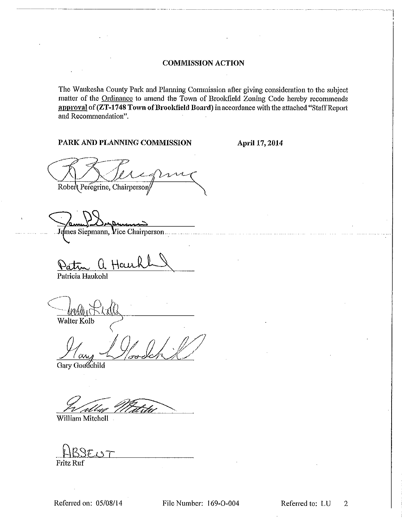#### **COMMISSION ACTION**

The Waukesha County Park and Planning Commission after giving consideration to the subject matter of the Ordinance to amend the Town of Brookfield Zoning Code hereby recommends approval of (ZT-1748 Town of Brookfield Board) in accordance with the attached "Staff Report and Recommendation".

#### PARK AND PLANNING COMMISSION

April 17, 2014

and the company of the company

Robert Peregrine, Chairperson

mes Siepmann, Vice Chairperson ...

Patricia Haukohl

Walter Kolb

 $\alpha$ 

Gary Goodchild

utbur

William Mitchell

 $\Im \mathcal{I}_{\mathcal{A}}$ Fritz Ruf

Referred on: 05/08/14

File Number: 169-O-004

Referred to: LU 2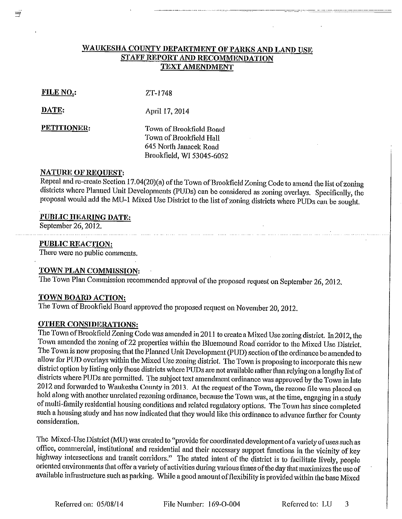# WAUKESHA COUNTY DEPARTMENT OF PARKS AND LAND USE **STAFF REPORT AND RECOMMENDATION TEXT AMENDMENT**

#### **FILE NO.:**

 $ZT-1748$ 

DATE:

April 17, 2014

PETITIONER:

Town of Brookfield Board Town of Brookfield Hall 645 North Janacek Road Brookfield, WI 53045-6052

#### **NATURE OF REOUEST:**

Repeal and re-create Section 17.04(20)(a) of the Town of Brookfield Zoning Code to amend the list of zoning districts where Planned Unit Developments (PUDs) can be considered as zoning overlays. Specifically, the proposal would add the MU-1 Mixed Use District to the list of zoning districts where PUDs can be sought.

#### PUBLIC HEARING DATE:

September 26, 2012.

#### **PUBLIC REACTION:**

There were no public comments.

#### TOWN PLAN COMMISSION:

The Town Plan Commission recommended approval of the proposed request on September 26, 2012.

## TOWN BOARD ACTION:

The Town of Brookfield Board approved the proposed request on November 20, 2012.

### **OTHER CONSIDERATIONS:**

The Town of Brookfield Zoning Code was amended in 2011 to create a Mixed Use zoning district. In 2012, the Town amended the zoning of 22 properties within the Bluemound Road corridor to the Mixed Use District. The Town is now proposing that the Planned Unit Development (PUD) section of the ordinance be amended to allow for PUD overlays within the Mixed Use zoning district. The Town is proposing to incorporate this new district option by listing only those districts where PUDs are not available rather than relying on a lengthy list of districts where PUDs are permitted. The subject text amendment ordinance was approved by the Town in late 2012 and forwarded to Waukesha County in 2013. At the request of the Town, the rezone file was placed on hold along with another unrelated rezoning ordinance, because the Town was, at the time, engaging in a study of multi-family residential housing conditions and related regulatory options. The Town has since completed such a housing study and has now indicated that they would like this ordinance to advance further for County consideration.

The Mixed-Use District (MU) was created to "provide for coordinated development of a variety of uses such as office, commercial, institutional and residential and their necessary support functions in the vicinity of key highway intersections and transit corridors." The stated intent of the district is to facilitate lively, people oriented environments that offer a variety of activities during various times of the day that maximizes the use of available infrastructure such as parking. While a good amount of flexibility is provided within the base Mixed

File Number: 169-O-004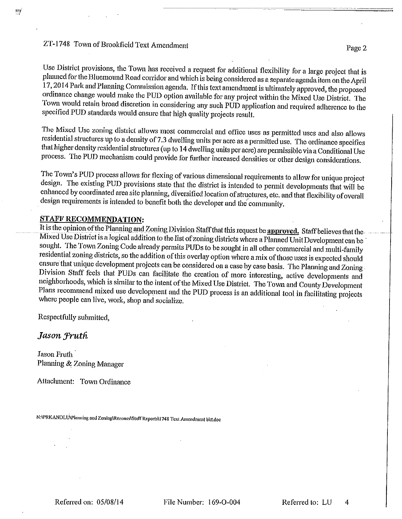## ZT-1748 Town of Brookfield Text Amendment

Page 2

Use District provisions, the Town has received a request for additional flexibility for a large project that is planned for the Bluemound Road corridor and which is being considered as a separate agenda item on the April 17, 2014 Park and Planning Commission agenda. If this text amendment is ultimately approved, the proposed ordinance change would make the PUD option available for any project within the Mixed Use District. The Town would retain broad discretion in considering any such PUD application and required adherence to the specified PUD standards would ensure that high quality projects result.

The Mixed Use zoning district allows most commercial and office uses as permitted uses and also allows residential structures up to a density of 7.3 dwelling units per acre as a permitted use. The ordinance specifies that higher density residential structures (up to 14 dwelling units per acre) are permissible via a Conditional Use process. The PUD mechanism could provide for further increased densities or other design considerations.

The Town's PUD process allows for flexing of various dimensional requirements to allow for unique project design. The existing PUD provisions state that the district is intended to permit developments that will be enhanced by coordinated area site planning, diversified location of structures, etc. and that flexibility of overall design requirements is intended to benefit both the developer and the community.

### **STAFF RECOMMENDATION:**

It is the opinion of the Planning and Zoning Division Staff that this request be approved. Staff believes that the Mixed Use District is a logical addition to the list of zoning districts where a Planned Unit Development can be sought. The Town Zoning Code already permits PUDs to be sought in all other commercial and multi-family residential zoning districts, so the addition of this overlay option where a mix of those uses is expected should ensure that unique development projects can be considered on a case by case basis. The Planning and Zoning Division Staff feels that PUDs can facilitate the creation of more interesting, active developments and neighborhoods, which is similar to the intent of the Mixed Use District. The Town and County Development Plans recommend mixed use development and the PUD process is an additional tool in facilitating projects where people can live, work, shop and socialize.

Respectfully submitted,

Jason Fruth

**Jason Fruth** Planning & Zoning Manager

Attachment: Town Ordinance

N:\PRKANDLU\Plamting and Zoning\Rezones\Staff Reports\1748 Text Amendment bkt.doc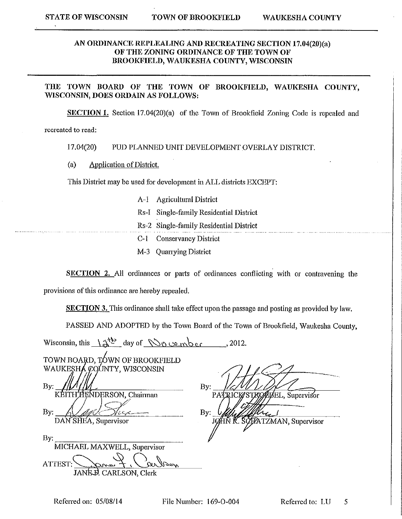### AN ORDINANCE REPLEALING AND RECREATING SECTION 17.04(20)(a) OF THE ZONING ORDINANCE OF THE TOWN OF BROOKFIELD, WAUKESHA COUNTY, WISCONSIN

#### THE TOWN BOARD OF THE TOWN OF BROOKFIELD, WAUKESHA COUNTY, WISCONSIN, DOES ORDAIN AS FOLLOWS:

**SECTION 1.** Section 17.04(20)(a) of the Town of Brookfield Zoning Code is repealed and

recreated to read:

17.04(20) PUD PLANNED UNIT DEVELOPMENT OVERLAY DISTRICT.

 $(a)$ Application of District.

This District may be used for development in ALL districts EXCEPT:

- A-1 Agricultural District Rs-I Single-family Residential District Rs-2 Single-family Residential District **Conservancy District**  $C-1$
- M-3 Quarrying District

SECTION 2. All ordinances or parts of ordinances conflicting with or contravening the

provisions of this ordinance are hereby repealed.

**SECTION 3.** This ordinance shall take effect upon the passage and posting as provided by law.

PASSED AND ADOPTED by the Town Board of the Town of Brookfield, Waukesha County,

| Wisconsin, this $\frac{1}{3}$ day of November                                                                                      | , 2012.                                                                     |
|------------------------------------------------------------------------------------------------------------------------------------|-----------------------------------------------------------------------------|
| TOWN BOARD, TOWN OF BROOKFIELD<br>WAUKESHA COUNTY, WISCONSIN<br>By:<br>H'HENDERSON, Chairman<br>KFI<br>By:<br>DAN SHEA, Supervisor | By:<br>PATRICK STROPBEL, Supervisor<br>By:<br>JOHN R. SOFATZMAN, Supervisor |
| By:<br>MICHAEL MAXWELL, Supervisor<br>ATTEST:<br>9ary<br>ビルっ<br>JANE D. CARLSON, Clerk                                             |                                                                             |